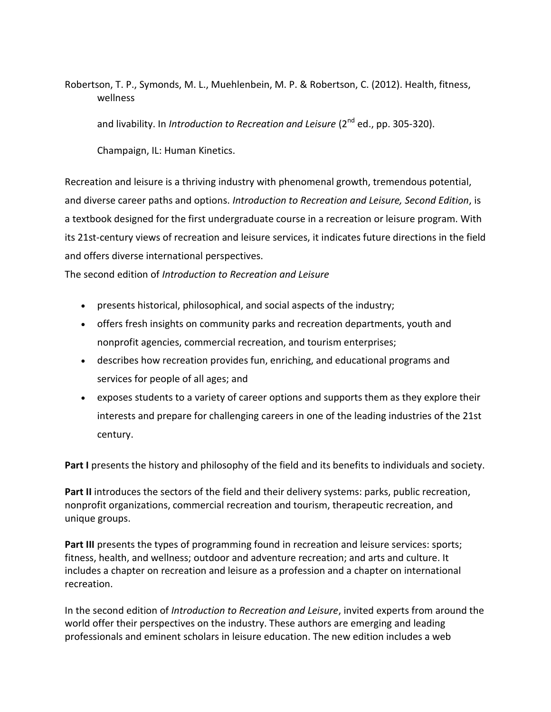Robertson, T. P., Symonds, M. L., Muehlenbein, M. P. & Robertson, C. (2012). Health, fitness, wellness

and livability. In *Introduction to Recreation and Leisure* (2<sup>nd</sup> ed., pp. 305-320).

Champaign, IL: Human Kinetics.

Recreation and leisure is a thriving industry with phenomenal growth, tremendous potential, and diverse career paths and options. *Introduction to Recreation and Leisure, Second Edition*, is a textbook designed for the first undergraduate course in a recreation or leisure program. With its 21st-century views of recreation and leisure services, it indicates future directions in the field and offers diverse international perspectives.

The second edition of *Introduction to Recreation and Leisure*

- presents historical, philosophical, and social aspects of the industry;
- offers fresh insights on community parks and recreation departments, youth and nonprofit agencies, commercial recreation, and tourism enterprises;
- describes how recreation provides fun, enriching, and educational programs and services for people of all ages; and
- exposes students to a variety of career options and supports them as they explore their interests and prepare for challenging careers in one of the leading industries of the 21st century.

**Part I** presents the history and philosophy of the field and its benefits to individuals and society.

**Part II** introduces the sectors of the field and their delivery systems: parks, public recreation, nonprofit organizations, commercial recreation and tourism, therapeutic recreation, and unique groups.

**Part III** presents the types of programming found in recreation and leisure services: sports; fitness, health, and wellness; outdoor and adventure recreation; and arts and culture. It includes a chapter on recreation and leisure as a profession and a chapter on international recreation.

In the second edition of *Introduction to Recreation and Leisure*, invited experts from around the world offer their perspectives on the industry. These authors are emerging and leading professionals and eminent scholars in leisure education. The new edition includes a web